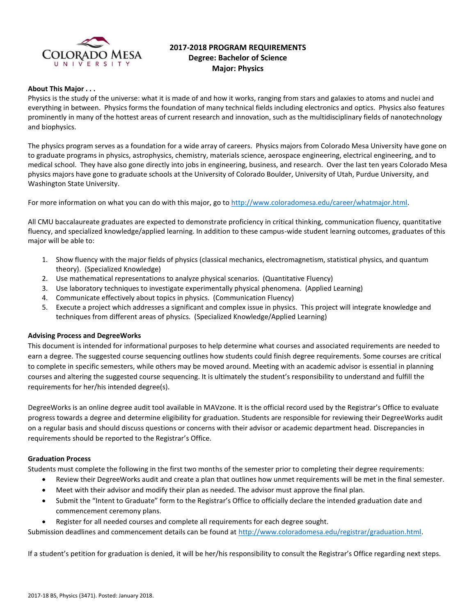

# **2017-2018 PROGRAM REQUIREMENTS Degree: Bachelor of Science Major: Physics**

### **About This Major . . .**

Physics is the study of the universe: what it is made of and how it works, ranging from stars and galaxies to atoms and nuclei and everything in between. Physics forms the foundation of many technical fields including electronics and optics. Physics also features prominently in many of the hottest areas of current research and innovation, such as the multidisciplinary fields of nanotechnology and biophysics.

The physics program serves as a foundation for a wide array of careers. Physics majors from Colorado Mesa University have gone on to graduate programs in physics, astrophysics, chemistry, materials science, aerospace engineering, electrical engineering, and to medical school. They have also gone directly into jobs in engineering, business, and research. Over the last ten years Colorado Mesa physics majors have gone to graduate schools at the University of Colorado Boulder, University of Utah, Purdue University, and Washington State University.

For more information on what you can do with this major, go t[o http://www.coloradomesa.edu/career/whatmajor.html.](http://www.coloradomesa.edu/career/whatmajor.html)

All CMU baccalaureate graduates are expected to demonstrate proficiency in critical thinking, communication fluency, quantitative fluency, and specialized knowledge/applied learning. In addition to these campus-wide student learning outcomes, graduates of this major will be able to:

- 1. Show fluency with the major fields of physics (classical mechanics, electromagnetism, statistical physics, and quantum theory). (Specialized Knowledge)
- 2. Use mathematical representations to analyze physical scenarios. (Quantitative Fluency)
- 3. Use laboratory techniques to investigate experimentally physical phenomena. (Applied Learning)
- 4. Communicate effectively about topics in physics. (Communication Fluency)
- 5. Execute a project which addresses a significant and complex issue in physics. This project will integrate knowledge and techniques from different areas of physics. (Specialized Knowledge/Applied Learning)

### **Advising Process and DegreeWorks**

This document is intended for informational purposes to help determine what courses and associated requirements are needed to earn a degree. The suggested course sequencing outlines how students could finish degree requirements. Some courses are critical to complete in specific semesters, while others may be moved around. Meeting with an academic advisor is essential in planning courses and altering the suggested course sequencing. It is ultimately the student's responsibility to understand and fulfill the requirements for her/his intended degree(s).

DegreeWorks is an online degree audit tool available in MAVzone. It is the official record used by the Registrar's Office to evaluate progress towards a degree and determine eligibility for graduation. Students are responsible for reviewing their DegreeWorks audit on a regular basis and should discuss questions or concerns with their advisor or academic department head. Discrepancies in requirements should be reported to the Registrar's Office.

### **Graduation Process**

Students must complete the following in the first two months of the semester prior to completing their degree requirements:

- Review their DegreeWorks audit and create a plan that outlines how unmet requirements will be met in the final semester.
- Meet with their advisor and modify their plan as needed. The advisor must approve the final plan.
- Submit the "Intent to Graduate" form to the Registrar's Office to officially declare the intended graduation date and commencement ceremony plans.
- Register for all needed courses and complete all requirements for each degree sought.

Submission deadlines and commencement details can be found at [http://www.coloradomesa.edu/registrar/graduation.html.](http://www.coloradomesa.edu/registrar/graduation.html)

If a student's petition for graduation is denied, it will be her/his responsibility to consult the Registrar's Office regarding next steps.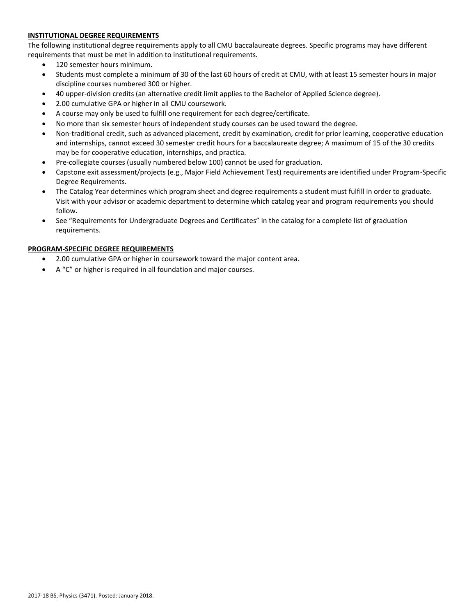# **INSTITUTIONAL DEGREE REQUIREMENTS**

The following institutional degree requirements apply to all CMU baccalaureate degrees. Specific programs may have different requirements that must be met in addition to institutional requirements.

- 120 semester hours minimum.
- Students must complete a minimum of 30 of the last 60 hours of credit at CMU, with at least 15 semester hours in major discipline courses numbered 300 or higher.
- 40 upper-division credits (an alternative credit limit applies to the Bachelor of Applied Science degree).
- 2.00 cumulative GPA or higher in all CMU coursework.
- A course may only be used to fulfill one requirement for each degree/certificate.
- No more than six semester hours of independent study courses can be used toward the degree.
- Non-traditional credit, such as advanced placement, credit by examination, credit for prior learning, cooperative education and internships, cannot exceed 30 semester credit hours for a baccalaureate degree; A maximum of 15 of the 30 credits may be for cooperative education, internships, and practica.
- Pre-collegiate courses (usually numbered below 100) cannot be used for graduation.
- Capstone exit assessment/projects (e.g., Major Field Achievement Test) requirements are identified under Program-Specific Degree Requirements.
- The Catalog Year determines which program sheet and degree requirements a student must fulfill in order to graduate. Visit with your advisor or academic department to determine which catalog year and program requirements you should follow.
- See "Requirements for Undergraduate Degrees and Certificates" in the catalog for a complete list of graduation requirements.

# **PROGRAM-SPECIFIC DEGREE REQUIREMENTS**

- 2.00 cumulative GPA or higher in coursework toward the major content area.
- A "C" or higher is required in all foundation and major courses.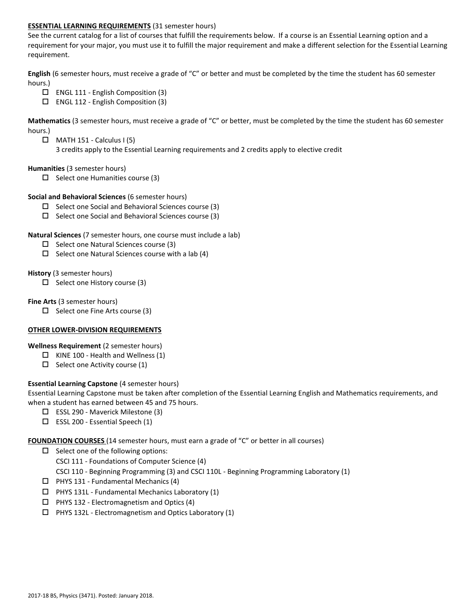### **ESSENTIAL LEARNING REQUIREMENTS** (31 semester hours)

See the current catalog for a list of courses that fulfill the requirements below. If a course is an Essential Learning option and a requirement for your major, you must use it to fulfill the major requirement and make a different selection for the Essential Learning requirement.

**English** (6 semester hours, must receive a grade of "C" or better and must be completed by the time the student has 60 semester hours.)

- $\Box$  ENGL 111 English Composition (3)
- $\Box$  ENGL 112 English Composition (3)

**Mathematics** (3 semester hours, must receive a grade of "C" or better, must be completed by the time the student has 60 semester hours.)

- $\Box$  MATH 151 Calculus I (5)
	- 3 credits apply to the Essential Learning requirements and 2 credits apply to elective credit

### **Humanities** (3 semester hours)

 $\Box$  Select one Humanities course (3)

### **Social and Behavioral Sciences** (6 semester hours)

- $\square$  Select one Social and Behavioral Sciences course (3)
- $\square$  Select one Social and Behavioral Sciences course (3)

### **Natural Sciences** (7 semester hours, one course must include a lab)

- $\Box$  Select one Natural Sciences course (3)
- $\Box$  Select one Natural Sciences course with a lab (4)

### **History** (3 semester hours)

 $\Box$  Select one History course (3)

### **Fine Arts** (3 semester hours)

 $\Box$  Select one Fine Arts course (3)

# **OTHER LOWER-DIVISION REQUIREMENTS**

# **Wellness Requirement** (2 semester hours)

- $\Box$  KINE 100 Health and Wellness (1)
- $\Box$  Select one Activity course (1)

# **Essential Learning Capstone** (4 semester hours)

Essential Learning Capstone must be taken after completion of the Essential Learning English and Mathematics requirements, and when a student has earned between 45 and 75 hours.

- $\Box$  ESSL 290 Maverick Milestone (3)
- $\square$  ESSL 200 Essential Speech (1)

### **FOUNDATION COURSES** (14 semester hours, must earn a grade of "C" or better in all courses)

- $\square$  Select one of the following options:
	- CSCI 111 Foundations of Computer Science (4)
	- CSCI 110 Beginning Programming (3) and CSCI 110L Beginning Programming Laboratory (1)
- $\Box$  PHYS 131 Fundamental Mechanics (4)
- $\Box$  PHYS 131L Fundamental Mechanics Laboratory (1)
- $\Box$  PHYS 132 Electromagnetism and Optics (4)
- $\Box$  PHYS 132L Electromagnetism and Optics Laboratory (1)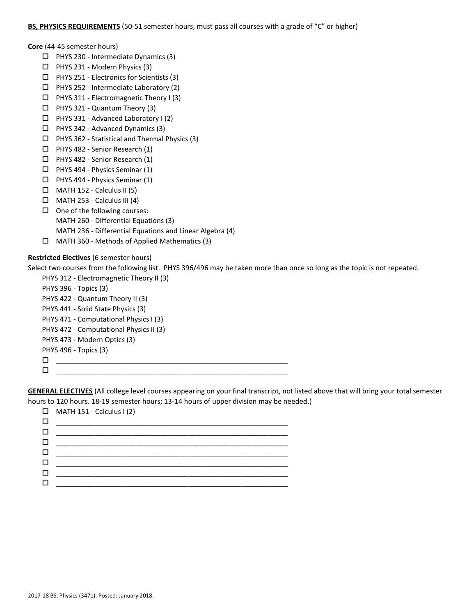### **BS, PHYSICS REQUIREMENTS** (50-51 semester hours, must pass all courses with a grade of "C" or higher)

**Core** (44-45 semester hours)

- $\Box$  PHYS 230 Intermediate Dynamics (3)
- $\Box$  PHYS 231 Modern Physics (3)
- $\Box$  PHYS 251 Electronics for Scientists (3)
- $\Box$  PHYS 252 Intermediate Laboratory (2)
- PHYS 311 Electromagnetic Theory I (3)
- $\Box$  PHYS 321 Quantum Theory (3)
- $\Box$  PHYS 331 Advanced Laboratory I (2)
- $\Box$  PHYS 342 Advanced Dynamics (3)
- $\Box$  PHYS 362 Statistical and Thermal Physics (3)
- $\Box$  PHYS 482 Senior Research (1)
- PHYS 482 Senior Research (1)
- PHYS 494 Physics Seminar (1)
- $\Box$  PHYS 494 Physics Seminar (1)
- $\Box$  MATH 152 Calculus II (5)
- $\Box$  MATH 253 Calculus III (4)
- $\Box$  One of the following courses:
	- MATH 260 Differential Equations (3)
	- MATH 236 Differential Equations and Linear Algebra (4)
- $\Box$  MATH 360 Methods of Applied Mathematics (3)

# **Restricted Electives** (6 semester hours)

Select two courses from the following list. PHYS 396/496 may be taken more than once so long as the topic is not repeated.

PHYS 312 - Electromagnetic Theory II (3) PHYS 396 - Topics (3) PHYS 422 - Quantum Theory II (3) PHYS 441 - Solid State Physics (3) PHYS 471 - Computational Physics I (3) PHYS 472 - Computational Physics II (3) PHYS 473 - Modern Optics (3) PHYS 496 - Topics (3) \_\_\_\_\_\_\_\_\_\_\_\_\_\_\_\_\_\_\_\_\_\_\_\_\_\_\_\_\_\_\_\_\_\_\_\_\_\_\_\_\_\_\_\_\_\_\_\_\_\_\_\_\_\_\_\_\_\_\_\_ \_\_\_\_\_\_\_\_\_\_\_\_\_\_\_\_\_\_\_\_\_\_\_\_\_\_\_\_\_\_\_\_\_\_\_\_\_\_\_\_\_\_\_\_\_\_\_\_\_\_\_\_\_\_\_\_\_\_\_\_

**GENERAL ELECTIVES** (All college level courses appearing on your final transcript, not listed above that will bring your total semester hours to 120 hours. 18-19 semester hours; 13-14 hours of upper division may be needed.)

|   | $\Box$ MATH 151 - Calculus I (2) |
|---|----------------------------------|
|   |                                  |
|   |                                  |
| П |                                  |
| ш |                                  |
| ш |                                  |
|   |                                  |
|   |                                  |
|   |                                  |